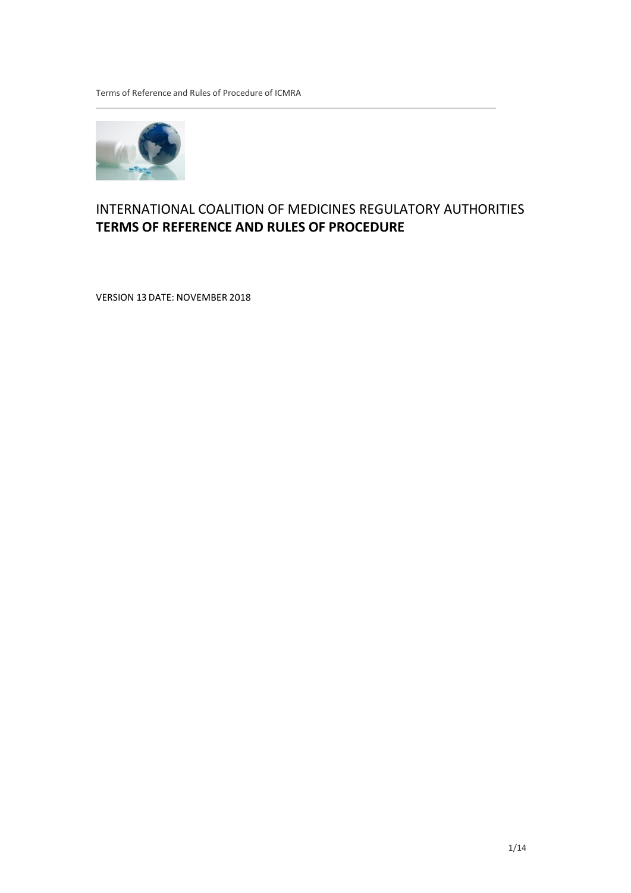Terms of Reference and Rules of Procedure of ICMRA



# INTERNATIONAL COALITION OF MEDICINES REGULATORY AUTHORITIES **TERMS OF REFERENCE AND RULES OF PROCEDURE**

VERSION 13 DATE: NOVEMBER 2018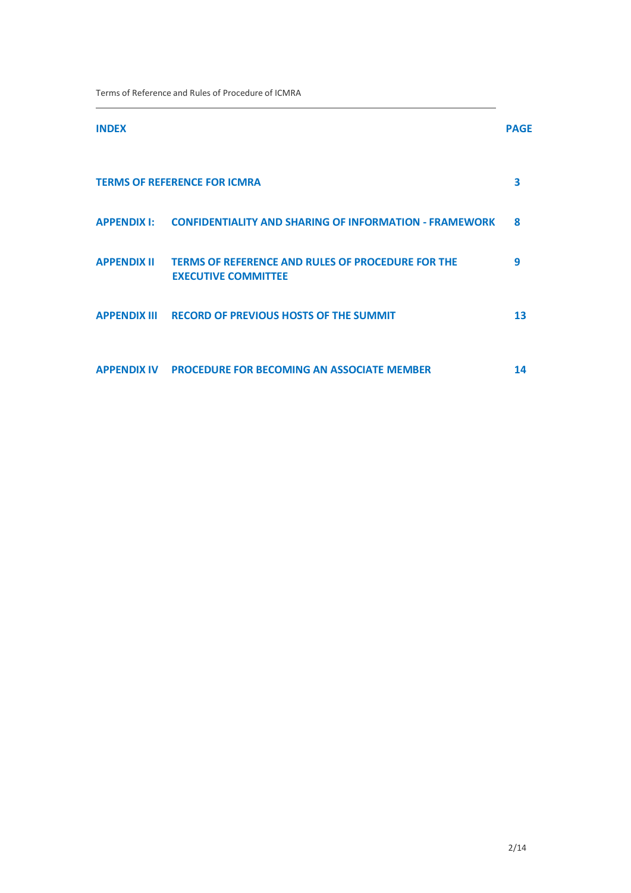Terms of Reference and Rules of Procedure of ICMRA

| <b>INDEX</b>       |                                                                                        | <b>PAGE</b> |
|--------------------|----------------------------------------------------------------------------------------|-------------|
|                    | <b>TERMS OF REFERENCE FOR ICMRA</b>                                                    | 3           |
|                    | APPENDIX I: CONFIDENTIALITY AND SHARING OF INFORMATION - FRAMEWORK                     | 8           |
| <b>APPENDIX II</b> | <b>TERMS OF REFERENCE AND RULES OF PROCEDURE FOR THE</b><br><b>EXECUTIVE COMMITTEE</b> | 9           |
|                    | <b>APPENDIX III RECORD OF PREVIOUS HOSTS OF THE SUMMIT</b>                             | 13          |
| <b>APPENDIX IV</b> | <b>PROCEDURE FOR BECOMING AN ASSOCIATE MEMBER</b>                                      | 14          |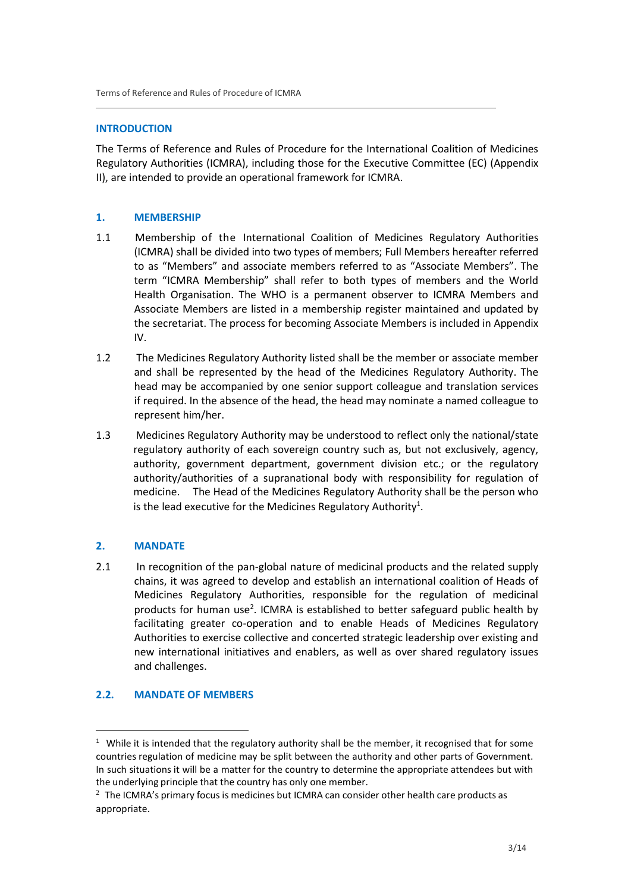### **INTRODUCTION**

The Terms of Reference and Rules of Procedure for the International Coalition of Medicines Regulatory Authorities (ICMRA), including those for the Executive Committee (EC) (Appendix II), are intended to provide an operational framework for ICMRA.

### **1. MEMBERSHIP**

- 1.1 Membership of the International Coalition of Medicines Regulatory Authorities (ICMRA) shall be divided into two types of members; Full Members hereafter referred to as "Members" and associate members referred to as "Associate Members". The term "ICMRA Membership" shall refer to both types of members and the World Health Organisation. The WHO is a permanent observer to ICMRA Members and Associate Members are listed in a membership register maintained and updated by the secretariat. The process for becoming Associate Members is included in Appendix IV.
- 1.2 The Medicines Regulatory Authority listed shall be the member or associate member and shall be represented by the head of the Medicines Regulatory Authority. The head may be accompanied by one senior support colleague and translation services if required. In the absence of the head, the head may nominate a named colleague to represent him/her.
- 1.3 Medicines Regulatory Authority may be understood to reflect only the national/state regulatory authority of each sovereign country such as, but not exclusively, agency, authority, government department, government division etc.; or the regulatory authority/authorities of a supranational body with responsibility for regulation of medicine. The Head of the Medicines Regulatory Authority shall be the person who is the lead executive for the Medicines Regulatory Authority<sup>1</sup>.

# **2. MANDATE**

2.1 In recognition of the pan-global nature of medicinal products and the related supply chains, it was agreed to develop and establish an international coalition of Heads of Medicines Regulatory Authorities, responsible for the regulation of medicinal products for human use 2 . ICMRA is established to better safeguard public health by facilitating greater co-operation and to enable Heads of Medicines Regulatory Authorities to exercise collective and concerted strategic leadership over existing and new international initiatives and enablers, as well as over shared regulatory issues and challenges.

# **2.2. MANDATE OF MEMBERS**

 $1$  While it is intended that the regulatory authority shall be the member, it recognised that for some countries regulation of medicine may be split between the authority and other parts of Government. In such situations it will be a matter for the country to determine the appropriate attendees but with the underlying principle that the country has only one member.

 $2$  The ICMRA's primary focus is medicines but ICMRA can consider other health care products as appropriate.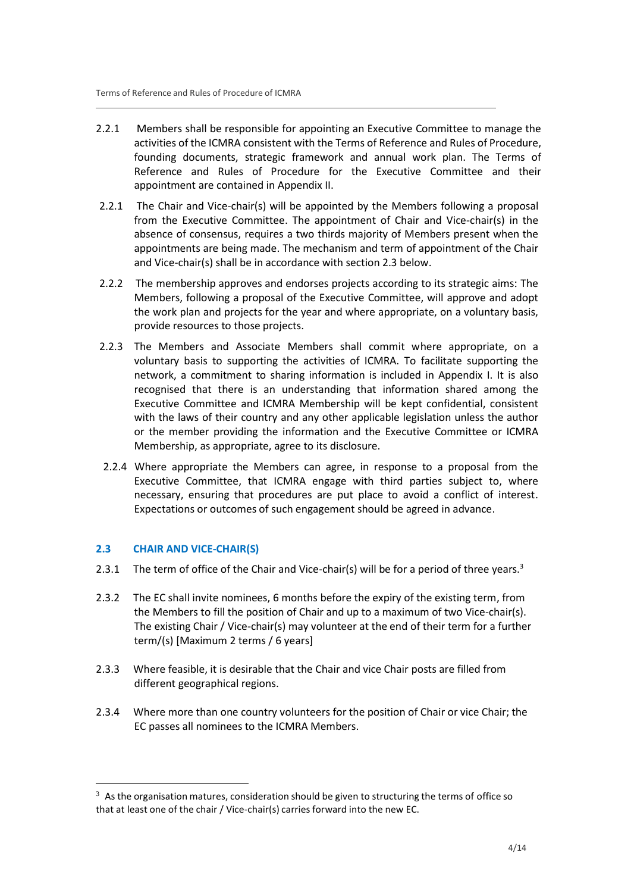- 2.2.1 Members shall be responsible for appointing an Executive Committee to manage the activities of the ICMRA consistent with the Terms of Reference and Rules of Procedure, founding documents, strategic framework and annual work plan. The Terms of Reference and Rules of Procedure for the Executive Committee and their appointment are contained in Appendix II.
- 2.2.1 The Chair and Vice-chair(s) will be appointed by the Members following a proposal from the Executive Committee. The appointment of Chair and Vice-chair(s) in the absence of consensus, requires a two thirds majority of Members present when the appointments are being made. The mechanism and term of appointment of the Chair and Vice-chair(s) shall be in accordance with section 2.3 below.
- 2.2.2 The membership approves and endorses projects according to its strategic aims: The Members, following a proposal of the Executive Committee, will approve and adopt the work plan and projects for the year and where appropriate, on a voluntary basis, provide resources to those projects.
- 2.2.3 The Members and Associate Members shall commit where appropriate, on a voluntary basis to supporting the activities of ICMRA. To facilitate supporting the network, a commitment to sharing information is included in Appendix I. It is also recognised that there is an understanding that information shared among the Executive Committee and ICMRA Membership will be kept confidential, consistent with the laws of their country and any other applicable legislation unless the author or the member providing the information and the Executive Committee or ICMRA Membership, as appropriate, agree to its disclosure.
- 2.2.4 Where appropriate the Members can agree, in response to a proposal from the Executive Committee, that ICMRA engage with third parties subject to, where necessary, ensuring that procedures are put place to avoid a conflict of interest. Expectations or outcomes of such engagement should be agreed in advance.

# **2.3 CHAIR AND VICE-CHAIR(S)**

- 2.3.1 The term of office of the Chair and Vice-chair(s) will be for a period of three years.<sup>3</sup>
- 2.3.2 The EC shall invite nominees, 6 months before the expiry of the existing term, from the Members to fill the position of Chair and up to a maximum of two Vice-chair(s). The existing Chair / Vice-chair(s) may volunteer at the end of their term for a further term/(s) [Maximum 2 terms / 6 years]
- 2.3.3 Where feasible, it is desirable that the Chair and vice Chair posts are filled from different geographical regions.
- 2.3.4 Where more than one country volunteers for the position of Chair or vice Chair; the EC passes all nominees to the ICMRA Members.

 $3$  As the organisation matures, consideration should be given to structuring the terms of office so that at least one of the chair / Vice-chair(s) carries forward into the new EC.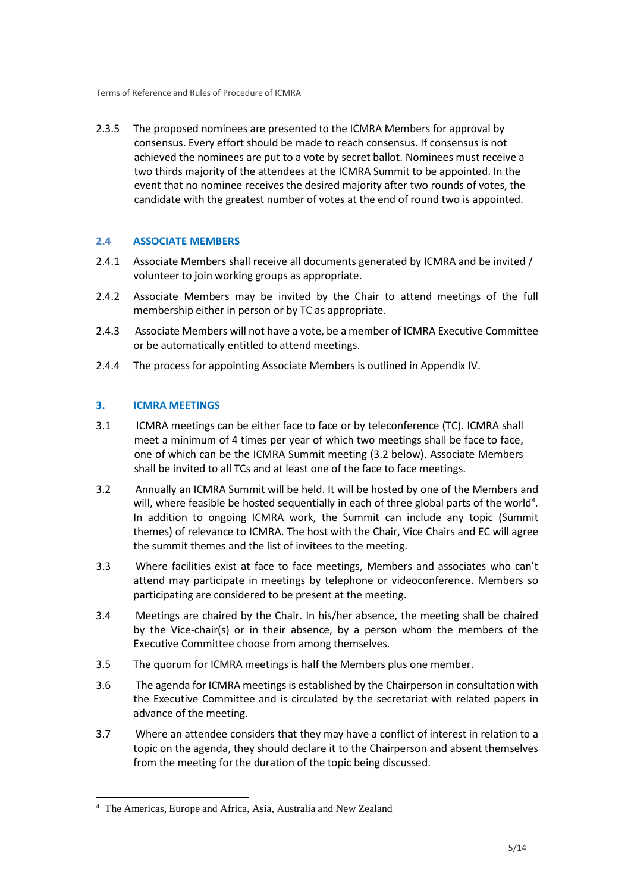2.3.5 The proposed nominees are presented to the ICMRA Members for approval by consensus. Every effort should be made to reach consensus. If consensus is not achieved the nominees are put to a vote by secret ballot. Nominees must receive a two thirds majority of the attendees at the ICMRA Summit to be appointed. In the event that no nominee receives the desired majority after two rounds of votes, the candidate with the greatest number of votes at the end of round two is appointed.

# **2.4 ASSOCIATE MEMBERS**

- 2.4.1 Associate Members shall receive all documents generated by ICMRA and be invited / volunteer to join working groups as appropriate.
- 2.4.2 Associate Members may be invited by the Chair to attend meetings of the full membership either in person or by TC as appropriate.
- 2.4.3 Associate Members will not have a vote, be a member of ICMRA Executive Committee or be automatically entitled to attend meetings.
- 2.4.4 The process for appointing Associate Members is outlined in Appendix IV.

# **3. ICMRA MEETINGS**

- 3.1 ICMRA meetings can be either face to face or by teleconference (TC). ICMRA shall meet a minimum of 4 times per year of which two meetings shall be face to face, one of which can be the ICMRA Summit meeting (3.2 below). Associate Members shall be invited to all TCs and at least one of the face to face meetings.
- 3.2 Annually an ICMRA Summit will be held. It will be hosted by one of the Members and will, where feasible be hosted sequentially in each of three global parts of the world<sup>4</sup>. In addition to ongoing ICMRA work, the Summit can include any topic (Summit themes) of relevance to ICMRA. The host with the Chair, Vice Chairs and EC will agree the summit themes and the list of invitees to the meeting.
- 3.3 Where facilities exist at face to face meetings, Members and associates who can't attend may participate in meetings by telephone or videoconference. Members so participating are considered to be present at the meeting.
- 3.4 Meetings are chaired by the Chair. In his/her absence, the meeting shall be chaired by the Vice-chair(s) or in their absence, by a person whom the members of the Executive Committee choose from among themselves.
- 3.5 The quorum for ICMRA meetings is half the Members plus one member.
- 3.6 The agenda for ICMRA meetings is established by the Chairperson in consultation with the Executive Committee and is circulated by the secretariat with related papers in advance of the meeting.
- 3.7 Where an attendee considers that they may have a conflict of interest in relation to a topic on the agenda, they should declare it to the Chairperson and absent themselves from the meeting for the duration of the topic being discussed.

<sup>4</sup>The Americas, Europe and Africa, Asia, Australia and New Zealand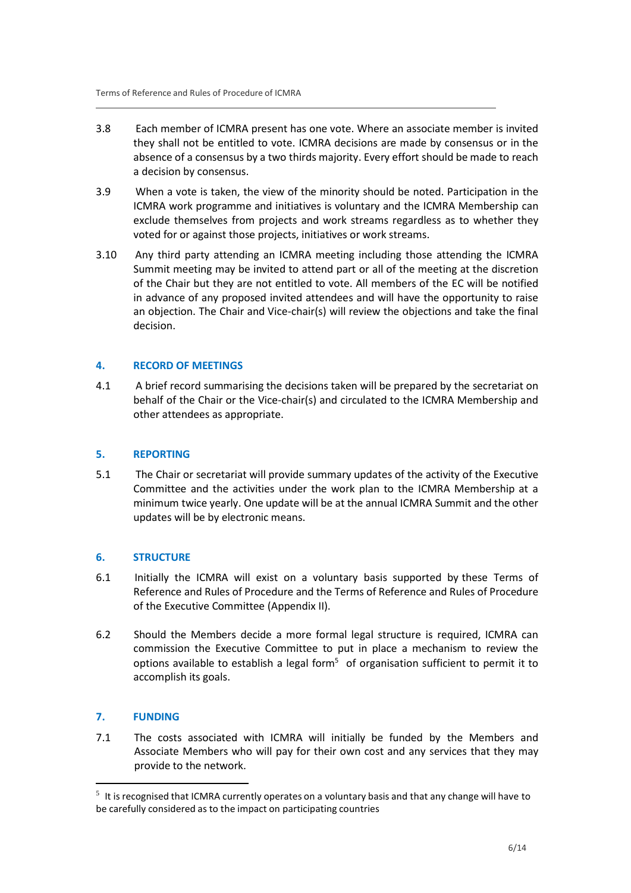- 3.8 Each member of ICMRA present has one vote. Where an associate member is invited they shall not be entitled to vote. ICMRA decisions are made by consensus or in the absence of a consensus by a two thirds majority. Every effort should be made to reach a decision by consensus.
- 3.9 When a vote is taken, the view of the minority should be noted. Participation in the ICMRA work programme and initiatives is voluntary and the ICMRA Membership can exclude themselves from projects and work streams regardless as to whether they voted for or against those projects, initiatives or work streams.
- 3.10 Any third party attending an ICMRA meeting including those attending the ICMRA Summit meeting may be invited to attend part or all of the meeting at the discretion of the Chair but they are not entitled to vote. All members of the EC will be notified in advance of any proposed invited attendees and will have the opportunity to raise an objection. The Chair and Vice-chair(s) will review the objections and take the final decision.

# **4. RECORD OF MEETINGS**

4.1 A brief record summarising the decisions taken will be prepared by the secretariat on behalf of the Chair or the Vice-chair(s) and circulated to the ICMRA Membership and other attendees as appropriate.

# **5. REPORTING**

5.1 The Chair or secretariat will provide summary updates of the activity of the Executive Committee and the activities under the work plan to the ICMRA Membership at a minimum twice yearly. One update will be at the annual ICMRA Summit and the other updates will be by electronic means.

# **6. STRUCTURE**

- 6.1 Initially the ICMRA will exist on a voluntary basis supported by these Terms of Reference and Rules of Procedure and the Terms of Reference and Rules of Procedure of the Executive Committee (Appendix II).
- 6.2 Should the Members decide a more formal legal structure is required, ICMRA can commission the Executive Committee to put in place a mechanism to review the options available to establish a legal form $5$  of organisation sufficient to permit it to accomplish its goals.

# **7. FUNDING**

7.1 The costs associated with ICMRA will initially be funded by the Members and Associate Members who will pay for their own cost and any services that they may provide to the network.

 $5$  It is recognised that ICMRA currently operates on a voluntary basis and that any change will have to be carefully considered as to the impact on participating countries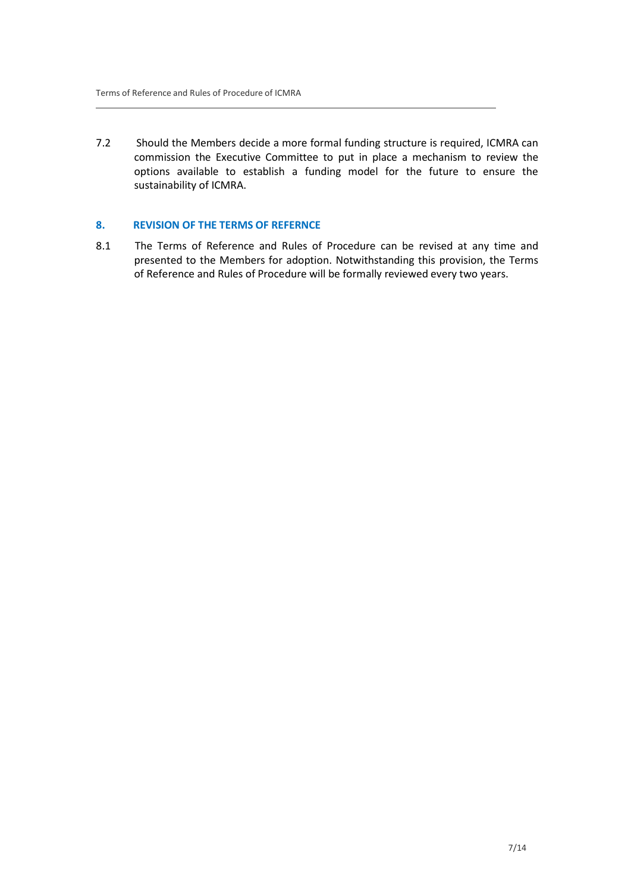7.2 Should the Members decide a more formal funding structure is required, ICMRA can commission the Executive Committee to put in place a mechanism to review the options available to establish a funding model for the future to ensure the sustainability of ICMRA.

# **8. REVISION OF THE TERMS OF REFERNCE**

8.1 The Terms of Reference and Rules of Procedure can be revised at any time and presented to the Members for adoption. Notwithstanding this provision, the Terms of Reference and Rules of Procedure will be formally reviewed every two years.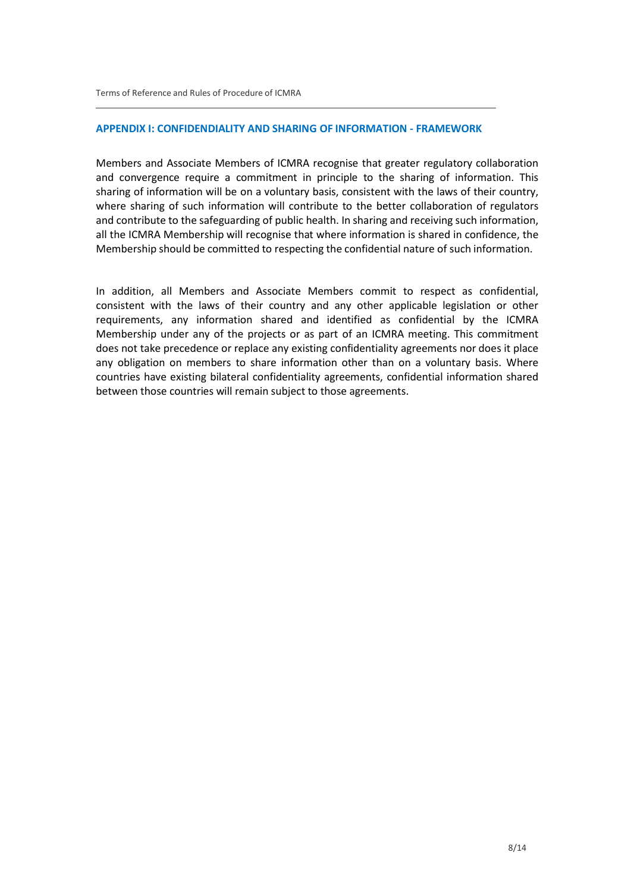### **APPENDIX I: CONFIDENDIALITY AND SHARING OF INFORMATION - FRAMEWORK**

Members and Associate Members of ICMRA recognise that greater regulatory collaboration and convergence require a commitment in principle to the sharing of information. This sharing of information will be on a voluntary basis, consistent with the laws of their country, where sharing of such information will contribute to the better collaboration of regulators and contribute to the safeguarding of public health. In sharing and receiving such information, all the ICMRA Membership will recognise that where information is shared in confidence, the Membership should be committed to respecting the confidential nature of such information.

In addition, all Members and Associate Members commit to respect as confidential, consistent with the laws of their country and any other applicable legislation or other requirements, any information shared and identified as confidential by the ICMRA Membership under any of the projects or as part of an ICMRA meeting. This commitment does not take precedence or replace any existing confidentiality agreements nor does it place any obligation on members to share information other than on a voluntary basis. Where countries have existing bilateral confidentiality agreements, confidential information shared between those countries will remain subject to those agreements.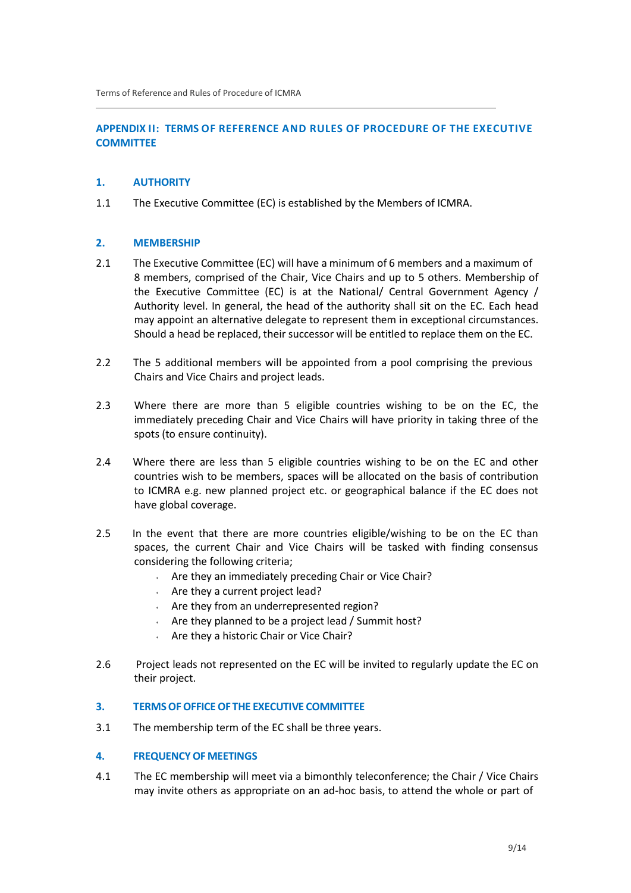# **APPENDIX II: TERMS OF REFERENCE AND RULES OF PROCEDURE OF THE EXECUTIVE COMMITTEE**

# **1. AUTHORITY**

1.1 The Executive Committee (EC) is established by the Members of ICMRA.

### **2. MEMBERSHIP**

- 2.1 The Executive Committee (EC) will have a minimum of 6 members and a maximum of 8 members, comprised of the Chair, Vice Chairs and up to 5 others. Membership of the Executive Committee (EC) is at the National/ Central Government Agency / Authority level. In general, the head of the authority shall sit on the EC. Each head may appoint an alternative delegate to represent them in exceptional circumstances. Should a head be replaced, their successor will be entitled to replace them on the EC.
- 2.2 The 5 additional members will be appointed from a pool comprising the previous Chairs and Vice Chairs and project leads.
- 2.3 Where there are more than 5 eligible countries wishing to be on the EC, the immediately preceding Chair and Vice Chairs will have priority in taking three of the spots (to ensure continuity).
- 2.4 Where there are less than 5 eligible countries wishing to be on the EC and other countries wish to be members, spaces will be allocated on the basis of contribution to ICMRA e.g. new planned project etc. or geographical balance if the EC does not have global coverage.
- 2.5 In the event that there are more countries eligible/wishing to be on the EC than spaces, the current Chair and Vice Chairs will be tasked with finding consensus considering the following criteria;
	- $\sim$  Are they an immediately preceding Chair or Vice Chair?
	- Are they a current project lead?
	- Are they from an underrepresented region?
	- Are they planned to be a project lead / Summit host?
	- Are they a historic Chair or Vice Chair?
- 2.6 Project leads not represented on the EC will be invited to regularly update the EC on their project.

### **3. TERMSOFOFFICEOF THE EXECUTIVE COMMITTEE**

3.1 The membership term of the EC shall be three years.

### **4. FREQUENCYOF MEETINGS**

4.1 The EC membership will meet via a bimonthly teleconference; the Chair / Vice Chairs may invite others as appropriate on an ad-hoc basis, to attend the whole or part of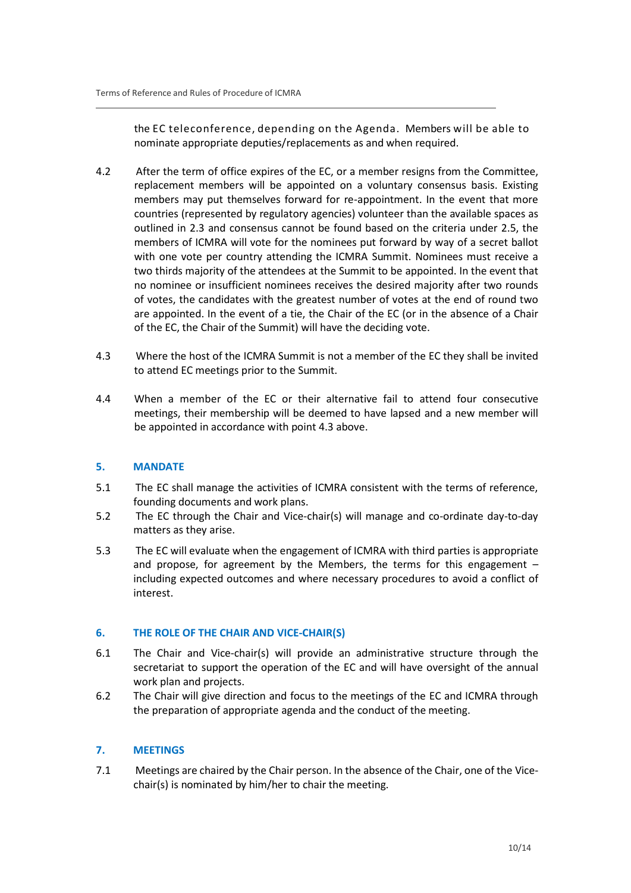the EC teleconference, depending on the Agenda. Members will be able to nominate appropriate deputies/replacements as and when required.

- 4.2 After the term of office expires of the EC, or a member resigns from the Committee, replacement members will be appointed on a voluntary consensus basis. Existing members may put themselves forward for re-appointment. In the event that more countries (represented by regulatory agencies) volunteer than the available spaces as outlined in 2.3 and consensus cannot be found based on the criteria under 2.5, the members of ICMRA will vote for the nominees put forward by way of a secret ballot with one vote per country attending the ICMRA Summit. Nominees must receive a two thirds majority of the attendees at the Summit to be appointed. In the event that no nominee or insufficient nominees receives the desired majority after two rounds of votes, the candidates with the greatest number of votes at the end of round two are appointed. In the event of a tie, the Chair of the EC (or in the absence of a Chair of the EC, the Chair of the Summit) will have the deciding vote.
- 4.3 Where the host of the ICMRA Summit is not a member of the EC they shall be invited to attend EC meetings prior to the Summit.
- 4.4 When a member of the EC or their alternative fail to attend four consecutive meetings, their membership will be deemed to have lapsed and a new member will be appointed in accordance with point 4.3 above.

# **5. MANDATE**

- 5.1 The EC shall manage the activities of ICMRA consistent with the terms of reference, founding documents and work plans.
- 5.2 The EC through the Chair and Vice-chair(s) will manage and co-ordinate day-to-day matters as they arise.
- 5.3 The EC will evaluate when the engagement of ICMRA with third parties is appropriate and propose, for agreement by the Members, the terms for this engagement – including expected outcomes and where necessary procedures to avoid a conflict of interest.

# **6. THE ROLE OF THE CHAIR AND VICE-CHAIR(S)**

- 6.1 The Chair and Vice-chair(s) will provide an administrative structure through the secretariat to support the operation of the EC and will have oversight of the annual work plan and projects.
- 6.2 The Chair will give direction and focus to the meetings of the EC and ICMRA through the preparation of appropriate agenda and the conduct of the meeting.

# **7. MEETINGS**

7.1 Meetings are chaired by the Chair person. In the absence of the Chair, one of the Vicechair(s) is nominated by him/her to chair the meeting.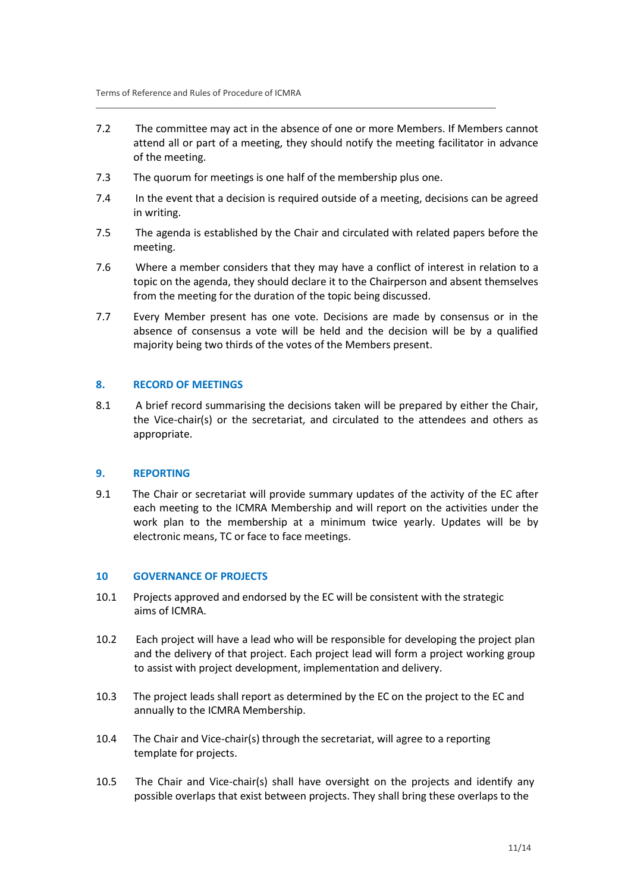- 7.2 The committee may act in the absence of one or more Members. If Members cannot attend all or part of a meeting, they should notify the meeting facilitator in advance of the meeting.
- 7.3 The quorum for meetings is one half of the membership plus one.
- 7.4 In the event that a decision is required outside of a meeting, decisions can be agreed in writing.
- 7.5 The agenda is established by the Chair and circulated with related papers before the meeting.
- 7.6 Where a member considers that they may have a conflict of interest in relation to a topic on the agenda, they should declare it to the Chairperson and absent themselves from the meeting for the duration of the topic being discussed.
- 7.7 Every Member present has one vote. Decisions are made by consensus or in the absence of consensus a vote will be held and the decision will be by a qualified majority being two thirds of the votes of the Members present.

### **8. RECORD OF MEETINGS**

8.1 A brief record summarising the decisions taken will be prepared by either the Chair, the Vice-chair(s) or the secretariat, and circulated to the attendees and others as appropriate.

### **9. REPORTING**

9.1 The Chair or secretariat will provide summary updates of the activity of the EC after each meeting to the ICMRA Membership and will report on the activities under the work plan to the membership at a minimum twice yearly. Updates will be by electronic means, TC or face to face meetings.

### **10 GOVERNANCE OF PROJECTS**

- 10.1 Projects approved and endorsed by the EC will be consistent with the strategic aims of ICMRA.
- 10.2 Each project will have a lead who will be responsible for developing the project plan and the delivery of that project. Each project lead will form a project working group to assist with project development, implementation and delivery.
- 10.3 The project leads shall report as determined by the EC on the project to the EC and annually to the ICMRA Membership.
- 10.4 The Chair and Vice-chair(s) through the secretariat, will agree to a reporting template for projects.
- 10.5 The Chair and Vice-chair(s) shall have oversight on the projects and identify any possible overlaps that exist between projects. They shall bring these overlaps to the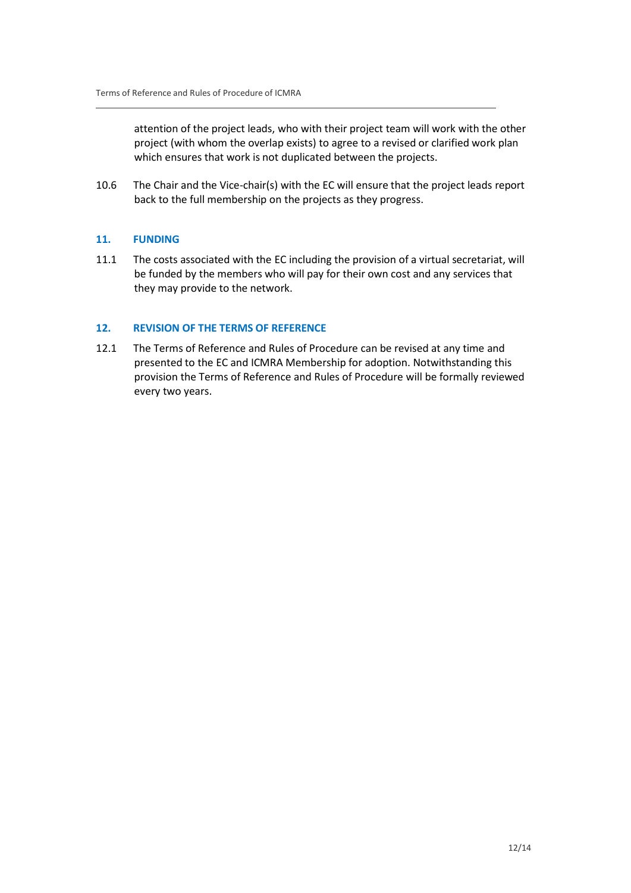attention of the project leads, who with their project team will work with the other project (with whom the overlap exists) to agree to a revised or clarified work plan which ensures that work is not duplicated between the projects.

10.6 The Chair and the Vice-chair(s) with the EC will ensure that the project leads report back to the full membership on the projects as they progress.

# **11. FUNDING**

11.1 The costs associated with the EC including the provision of a virtual secretariat, will be funded by the members who will pay for their own cost and any services that they may provide to the network.

# **12. REVISION OF THE TERMS OF REFERENCE**

12.1 The Terms of Reference and Rules of Procedure can be revised at any time and presented to the EC and ICMRA Membership for adoption. Notwithstanding this provision the Terms of Reference and Rules of Procedure will be formally reviewed every two years.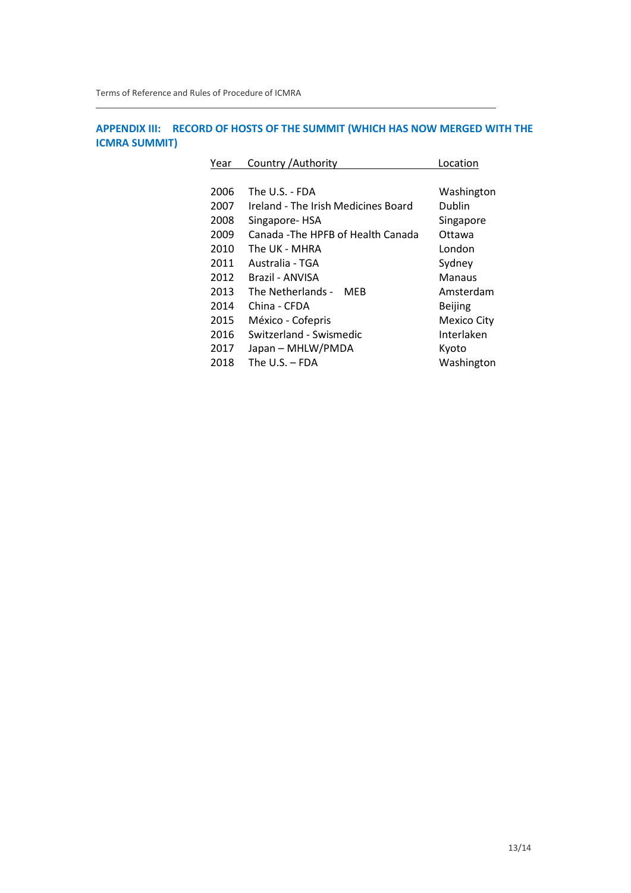# **APPENDIX III: RECORD OF HOSTS OF THE SUMMIT (WHICH HAS NOW MERGED WITH THE ICMRA SUMMIT)**

| Year | Country / Authority                 | Location           |
|------|-------------------------------------|--------------------|
|      |                                     |                    |
| 2006 | The U.S. - FDA                      | Washington         |
| 2007 | Ireland - The Irish Medicines Board | Dublin             |
| 2008 | Singapore-HSA                       | Singapore          |
| 2009 | Canada -The HPFB of Health Canada   | Ottawa             |
| 2010 | The UK - MHRA                       | London             |
| 2011 | Australia - TGA                     | Sydney             |
| 2012 | Brazil - ANVISA                     | Manaus             |
| 2013 | The Netherlands - MEB               | Amsterdam          |
| 2014 | China - CFDA                        | <b>Beijing</b>     |
| 2015 | México - Cofepris                   | <b>Mexico City</b> |
| 2016 | Switzerland - Swismedic             | Interlaken         |
| 2017 | Japan - MHLW/PMDA                   | Kyoto              |
| 2018 | The U.S. – FDA                      | Washington         |